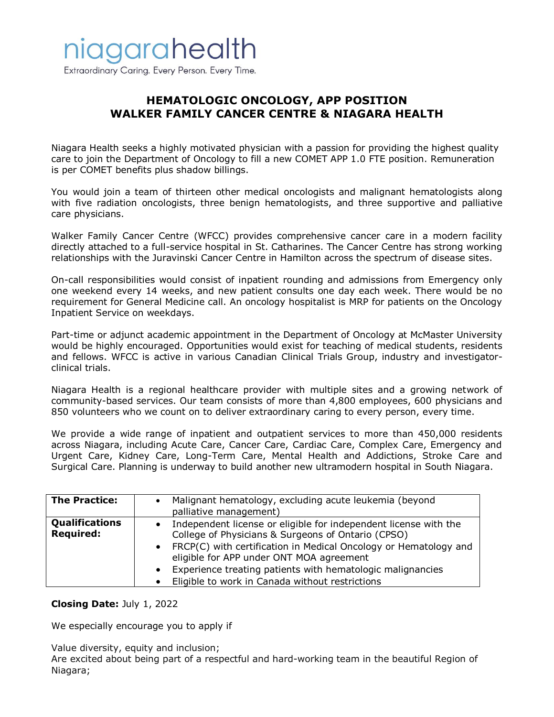

Extraordinary Caring. Every Person. Every Time.

## **HEMATOLOGIC ONCOLOGY, APP POSITION WALKER FAMILY CANCER CENTRE & NIAGARA HEALTH**

Niagara Health seeks a highly motivated physician with a passion for providing the highest quality care to join the Department of Oncology to fill a new COMET APP 1.0 FTE position. Remuneration is per COMET benefits plus shadow billings.

You would join a team of thirteen other medical oncologists and malignant hematologists along with five radiation oncologists, three benign hematologists, and three supportive and palliative care physicians.

Walker Family Cancer Centre (WFCC) provides comprehensive cancer care in a modern facility directly attached to a full-service hospital in St. Catharines. The Cancer Centre has strong working relationships with the Juravinski Cancer Centre in Hamilton across the spectrum of disease sites.

On-call responsibilities would consist of inpatient rounding and admissions from Emergency only one weekend every 14 weeks, and new patient consults one day each week. There would be no requirement for General Medicine call. An oncology hospitalist is MRP for patients on the Oncology Inpatient Service on weekdays.

Part-time or adjunct academic appointment in the Department of Oncology at McMaster University would be highly encouraged. Opportunities would exist for teaching of medical students, residents and fellows. WFCC is active in various Canadian Clinical Trials Group, industry and investigatorclinical trials.

Niagara Health is a regional healthcare provider with multiple sites and a growing network of community-based services. Our team consists of more than 4,800 employees, 600 physicians and 850 volunteers who we count on to deliver extraordinary caring to every person, every time.

We provide a wide range of inpatient and outpatient services to more than 450,000 residents across Niagara, including Acute Care, Cancer Care, Cardiac Care, Complex Care, Emergency and Urgent Care, Kidney Care, Long-Term Care, Mental Health and Addictions, Stroke Care and Surgical Care. Planning is underway to build another new ultramodern hospital in South Niagara.

| <b>The Practice:</b>                      | Malignant hematology, excluding acute leukemia (beyond<br>palliative management)                                                                                                                                                                                                                                                                                       |
|-------------------------------------------|------------------------------------------------------------------------------------------------------------------------------------------------------------------------------------------------------------------------------------------------------------------------------------------------------------------------------------------------------------------------|
| <b>Qualifications</b><br><b>Required:</b> | Independent license or eligible for independent license with the<br>College of Physicians & Surgeons of Ontario (CPSO)<br>• FRCP(C) with certification in Medical Oncology or Hematology and<br>eligible for APP under ONT MOA agreement<br>Experience treating patients with hematologic malignancies<br>$\bullet$<br>Eligible to work in Canada without restrictions |

## **Closing Date:** July 1, 2022

We especially encourage you to apply if

Value diversity, equity and inclusion;

Are excited about being part of a respectful and hard-working team in the beautiful Region of Niagara;